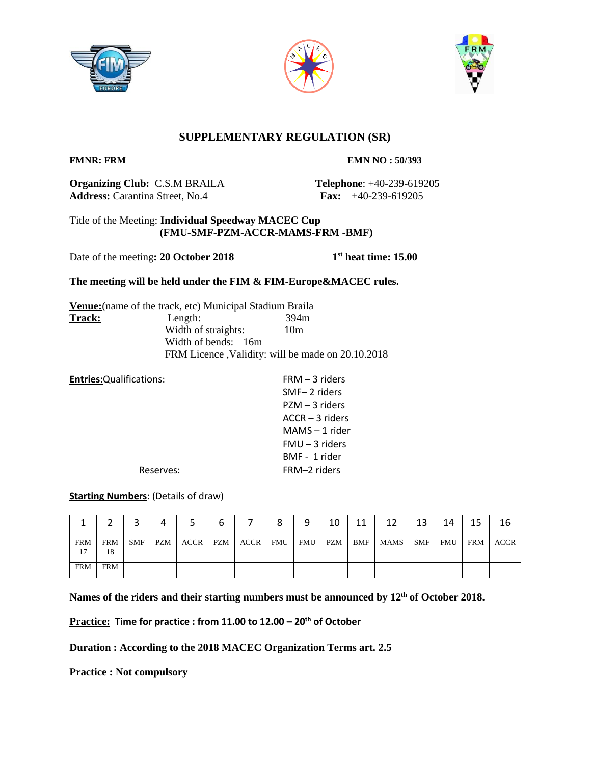





## **SUPPLEMENTARY REGULATION (SR)**

**FMNR: FRM EMN NO : 50/393** 

**Organizing Club:** C.S.M BRAILA **Telephone**: +40-239-619205 **Address:** Carantina Street, No.4 **Fax:** +40-239-619205

## Title of the Meeting: **Individual Speedway MACEC Cup (FMU-SMF-PZM-ACCR-MAMS-FRM -BMF)**

Date of the meeting: 20 October 2018

**st heat time: 15.00**

## **The meeting will be held under the FIM & FIM-Europe&MACEC rules.**

**Venue:**(name of the track, etc) Municipal Stadium Braila Track: Length: Width of straights: 10m Width of bends: 16m FRM Licence ,Validity: will be made on 20.10.2018

| $FRM - 3$ riders  |
|-------------------|
| SMF-2 riders      |
| $PZM - 3$ riders  |
| $ACCR - 3$ riders |
| $MAMS - 1$ rider  |
| $FMU - 3$ riders  |
| BMF - 1 rider     |
| FRM-2 riders      |
|                   |

## **Starting Numbers**: (Details of draw)

|            |            |            |     |      |            |             |            |     | 10  | 11  | 12   | 13         | 14  | 15  | 16   |
|------------|------------|------------|-----|------|------------|-------------|------------|-----|-----|-----|------|------------|-----|-----|------|
| <b>FRM</b> | <b>FRM</b> | <b>SMF</b> | PZM | ACCR | <b>PZM</b> | <b>ACCR</b> | <b>FMU</b> | FMU | PZM | BMF | MAMS | <b>SMF</b> | FMU | FRM | ACCR |
| 17         | 18         |            |     |      |            |             |            |     |     |     |      |            |     |     |      |
| <b>FRM</b> | <b>FRM</b> |            |     |      |            |             |            |     |     |     |      |            |     |     |      |

**Names of the riders and their starting numbers must be announced by 12th of October 2018.**

**Practice: Time for practice : from 11.00 to 12.00 – 20th of October**

**Duration : According to the 2018 MACEC Organization Terms art. 2.5**

**Practice : Not compulsory**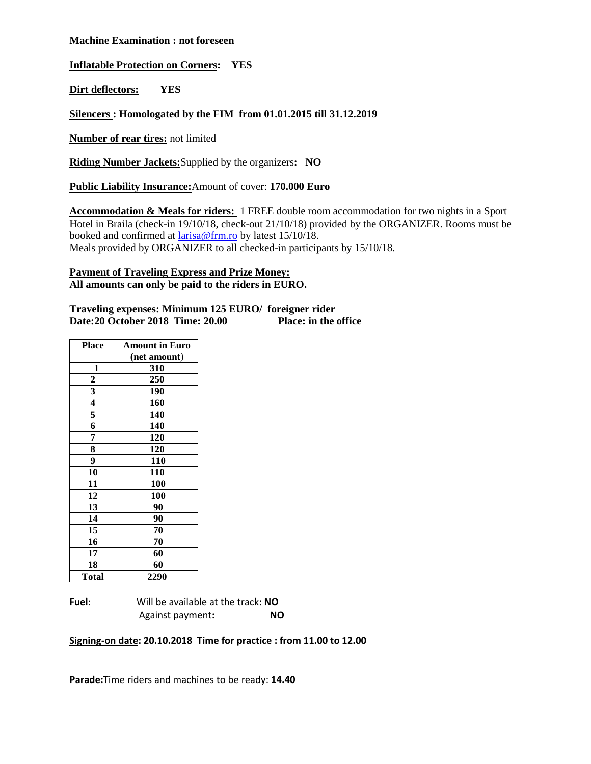#### **Machine Examination : not foreseen**

**Inflatable Protection on Corners: YES**

**Dirt deflectors: YES**

#### **Silencers : Homologated by the FIM from 01.01.2015 till 31.12.2019**

**Number of rear tires:** not limited

**Riding Number Jackets:**Supplied by the organizers**: NO**

**Public Liability Insurance:**Amount of cover: **170.000 Euro**

**Accommodation & Meals for riders:** 1 FREE double room accommodation for two nights in a Sport Hotel in Braila (check-in 19/10/18, check-out 21/10/18) provided by the ORGANIZER. Rooms must be booked and confirmed at [larisa@frm.ro](mailto:larisa@frm.ro) by latest 15/10/18. Meals provided by ORGANIZER to all checked-in participants by 15/10/18.

#### **Payment of Traveling Express and Prize Money: All amounts can only be paid to the riders in EURO.**

| Traveling expenses: Minimum 125 EURO/ foreigner rider |                             |
|-------------------------------------------------------|-----------------------------|
| Date:20 October 2018 Time: 20.00                      | <b>Place: in the office</b> |

| <b>Place</b>            | <b>Amount in Euro</b> |  |  |  |
|-------------------------|-----------------------|--|--|--|
|                         | (net amount)          |  |  |  |
| 1                       | 310                   |  |  |  |
|                         | 250                   |  |  |  |
| $\frac{2}{3}$           | 190                   |  |  |  |
| $\overline{\mathbf{4}}$ | 160                   |  |  |  |
| 5                       | 140                   |  |  |  |
| 6                       | 140                   |  |  |  |
| 7                       | 120                   |  |  |  |
| 8                       | 120                   |  |  |  |
| 9                       | 110                   |  |  |  |
| 10                      | 110                   |  |  |  |
| 11                      | 100                   |  |  |  |
| 12                      | 100                   |  |  |  |
| 13                      | 90                    |  |  |  |
| 14                      | 90                    |  |  |  |
| 15                      | 70                    |  |  |  |
| 16                      | 70                    |  |  |  |
| 17                      | 60                    |  |  |  |
| 18                      | 60                    |  |  |  |
| <b>Total</b>            | 2290                  |  |  |  |

**Fuel**: Will be available at the track**: NO** Against payment**: NO**

**Signing-on date: 20.10.2018 Time for practice : from 11.00 to 12.00**

**Parade:**Time riders and machines to be ready: **14.40**